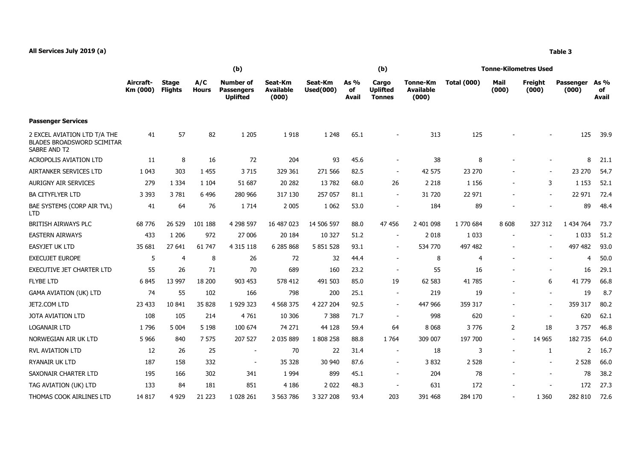|                                                                                   | (b)                   |                                |                     |                                                          |                                      |                             |                     | (b)                                       |                                       | <b>Tonne-Kilometres Used</b> |                |                  |                    |                            |  |
|-----------------------------------------------------------------------------------|-----------------------|--------------------------------|---------------------|----------------------------------------------------------|--------------------------------------|-----------------------------|---------------------|-------------------------------------------|---------------------------------------|------------------------------|----------------|------------------|--------------------|----------------------------|--|
|                                                                                   | Aircraft-<br>Km (000) | <b>Stage</b><br><b>Flights</b> | A/C<br><b>Hours</b> | <b>Number of</b><br><b>Passengers</b><br><b>Uplifted</b> | Seat-Km<br><b>Available</b><br>(000) | Seat-Km<br><b>Used(000)</b> | As %<br>of<br>Avail | Cargo<br><b>Uplifted</b><br><b>Tonnes</b> | Tonne-Km<br><b>Available</b><br>(000) | <b>Total (000)</b>           | Mail<br>(000)  | Freight<br>(000) | Passenger<br>(000) | As %<br>of<br><b>Avail</b> |  |
| <b>Passenger Services</b>                                                         |                       |                                |                     |                                                          |                                      |                             |                     |                                           |                                       |                              |                |                  |                    |                            |  |
| 2 EXCEL AVIATION LTD T/A THE<br><b>BLADES BROADSWORD SCIMITAR</b><br>SABRE AND T2 | 41                    | 57                             | 82                  | 1 2 0 5                                                  | 1918                                 | 1 2 4 8                     | 65.1                |                                           | 313                                   | 125                          |                |                  | 125                | 39.9                       |  |
| <b>ACROPOLIS AVIATION LTD</b>                                                     | 11                    | 8                              | 16                  | 72                                                       | 204                                  | 93                          | 45.6                | $\blacksquare$                            | 38                                    | 8                            |                |                  | 8                  | 21.1                       |  |
| AIRTANKER SERVICES LTD                                                            | 1 0 4 3               | 303                            | 1 4 5 5             | 3715                                                     | 329 361                              | 271 566                     | 82.5                | $\blacksquare$                            | 42 575                                | 23 270                       |                |                  | 23 270             | 54.7                       |  |
| <b>AURIGNY AIR SERVICES</b>                                                       | 279                   | 1 3 3 4                        | 1 1 0 4             | 51 687                                                   | 20 28 2                              | 13782                       | 68.0                | 26                                        | 2 2 1 8                               | 1 1 5 6                      |                | 3                | 1 1 5 3            | 52.1                       |  |
| <b>BA CITYFLYER LTD</b>                                                           | 3 3 9 3               | 3781                           | 6 4 9 6             | 280 966                                                  | 317 130                              | 257 057                     | 81.1                | $\blacksquare$                            | 31 720                                | 22 971                       |                |                  | 22 971             | 72.4                       |  |
| BAE SYSTEMS (CORP AIR TVL)<br><b>LTD</b>                                          | 41                    | 64                             | 76                  | 1 7 1 4                                                  | 2 0 0 5                              | 1 0 6 2                     | 53.0                | $\blacksquare$                            | 184                                   | 89                           |                |                  | 89                 | 48.4                       |  |
| BRITISH AIRWAYS PLC                                                               | 68 776                | 26 529                         | 101 188             | 4 298 597                                                | 16 487 023                           | 14 506 597                  | 88.0                | 47 456                                    | 2 401 098                             | 1 770 684                    | 8 6 0 8        | 327 312          | 1 434 764          | 73.7                       |  |
| <b>EASTERN AIRWAYS</b>                                                            | 433                   | 1 2 0 6                        | 972                 | 27 006                                                   | 20 184                               | 10 327                      | 51.2                | $\overline{\phantom{a}}$                  | 2 0 18                                | 1 0 3 3                      |                |                  | 1 0 3 3            | 51.2                       |  |
| <b>EASYJET UK LTD</b>                                                             | 35 681                | 27 641                         | 61 747              | 4 3 1 5 1 1 8                                            | 6 285 868                            | 5 851 528                   | 93.1                | $\overline{\phantom{a}}$                  | 534 770                               | 497 482                      |                |                  | 497 482            | 93.0                       |  |
| <b>EXECUJET EUROPE</b>                                                            | 5                     | $\overline{4}$                 | 8                   | 26                                                       | 72                                   | 32                          | 44.4                | $\overline{a}$                            | 8                                     | 4                            |                |                  | 4                  | 50.0                       |  |
| <b>EXECUTIVE JET CHARTER LTD</b>                                                  | 55                    | 26                             | 71                  | 70                                                       | 689                                  | 160                         | 23.2                | $\overline{\phantom{a}}$                  | 55                                    | 16                           |                |                  | 16                 | 29.1                       |  |
| <b>FLYBE LTD</b>                                                                  | 6845                  | 13 997                         | 18 200              | 903 453                                                  | 578 412                              | 491 503                     | 85.0                | 19                                        | 62 583                                | 41 785                       |                | 6                | 41 779             | 66.8                       |  |
| GAMA AVIATION (UK) LTD                                                            | 74                    | 55                             | 102                 | 166                                                      | 798                                  | 200                         | 25.1                | $\sim$                                    | 219                                   | 19                           |                |                  | 19                 | 8.7                        |  |
| JET2.COM LTD                                                                      | 23 433                | 10 841                         | 35 828              | 1 929 323                                                | 4 5 68 3 7 5                         | 4 227 204                   | 92.5                | $\blacksquare$                            | 447 966                               | 359 317                      |                |                  | 359 317            | 80.2                       |  |
| <b>JOTA AVIATION LTD</b>                                                          | 108                   | 105                            | 214                 | 4761                                                     | 10 30 6                              | 7 3 8 8                     | 71.7                | $\blacksquare$                            | 998                                   | 620                          |                |                  | 620                | 62.1                       |  |
| <b>LOGANAIR LTD</b>                                                               | 1796                  | 5 0 0 4                        | 5 1 9 8             | 100 674                                                  | 74 271                               | 44 128                      | 59.4                | 64                                        | 8 0 6 8                               | 3776                         | $\overline{2}$ | 18               | 3757               | 46.8                       |  |
| NORWEGIAN AIR UK LTD                                                              | 5966                  | 840                            | 7 575               | 207 527                                                  | 2 035 889                            | 1808 258                    | 88.8                | 1 7 6 4                                   | 309 007                               | 197 700                      | $\sim$         | 14 965           | 182 735            | 64.0                       |  |
| <b>RVL AVIATION LTD</b>                                                           | 12                    | 26                             | 25                  | $\blacksquare$                                           | 70                                   | 22                          | 31.4                | $\sim$                                    | 18                                    | 3                            | $\sim$         | 1                | 2                  | 16.7                       |  |
| RYANAIR UK LTD                                                                    | 187                   | 158                            | 332                 |                                                          | 35 328                               | 30 940                      | 87.6                | $\blacksquare$                            | 3832                                  | 2 5 2 8                      |                |                  | 2 5 2 8            | 66.0                       |  |
| SAXONAIR CHARTER LTD                                                              | 195                   | 166                            | 302                 | 341                                                      | 1 9 9 4                              | 899                         | 45.1                | $\blacksquare$                            | 204                                   | 78                           |                |                  | 78                 | 38.2                       |  |
| TAG AVIATION (UK) LTD                                                             | 133                   | 84                             | 181                 | 851                                                      | 4 1 8 6                              | 2 0 2 2                     | 48.3                |                                           | 631                                   | 172                          |                |                  | 172                | 27.3                       |  |
| THOMAS COOK AIRLINES LTD                                                          | 14 8 17               | 4 9 2 9                        | 21 2 23             | 1 0 28 26 1                                              | 3 563 786                            | 3 327 208                   | 93.4                | 203                                       | 391 468                               | 284 170                      |                | 1 3 6 0          | 282 810            | 72.6                       |  |